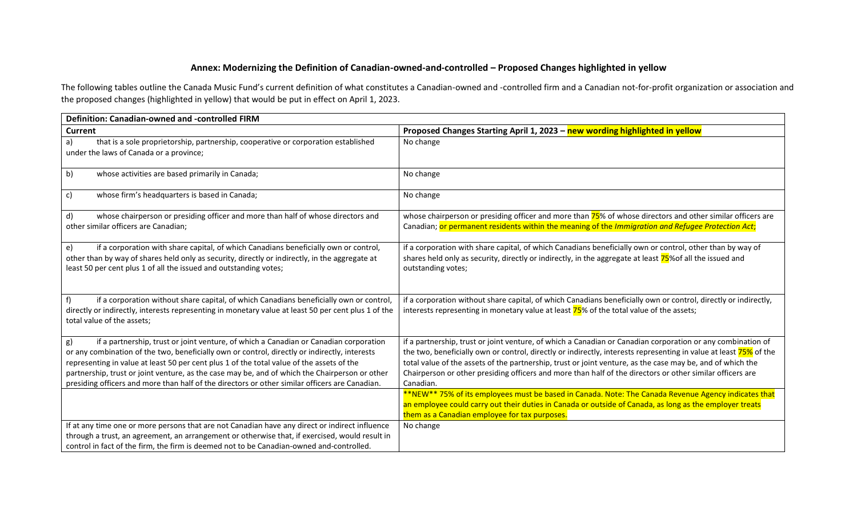## **Annex: Modernizing the Definition of Canadian-owned-and-controlled – Proposed Changes highlighted in yellow**

The following tables outline the Canada Music Fund's current definition of what constitutes a Canadian-owned and -controlled firm and a Canadian not-for-profit organization or association and the proposed changes (highlighted in yellow) that would be put in effect on April 1, 2023.

| <b>Definition: Canadian-owned and -controlled FIRM</b>                                                                                                                                                                                                                                                                                                                                                                                                                                        |                                                                                                                                                                                                                                                                                                                                                                                                                                                                          |
|-----------------------------------------------------------------------------------------------------------------------------------------------------------------------------------------------------------------------------------------------------------------------------------------------------------------------------------------------------------------------------------------------------------------------------------------------------------------------------------------------|--------------------------------------------------------------------------------------------------------------------------------------------------------------------------------------------------------------------------------------------------------------------------------------------------------------------------------------------------------------------------------------------------------------------------------------------------------------------------|
| <b>Current</b>                                                                                                                                                                                                                                                                                                                                                                                                                                                                                | Proposed Changes Starting April 1, 2023 - new wording highlighted in yellow                                                                                                                                                                                                                                                                                                                                                                                              |
| that is a sole proprietorship, partnership, cooperative or corporation established<br>a)<br>under the laws of Canada or a province;                                                                                                                                                                                                                                                                                                                                                           | No change                                                                                                                                                                                                                                                                                                                                                                                                                                                                |
| b)<br>whose activities are based primarily in Canada;                                                                                                                                                                                                                                                                                                                                                                                                                                         | No change                                                                                                                                                                                                                                                                                                                                                                                                                                                                |
| c)<br>whose firm's headquarters is based in Canada;                                                                                                                                                                                                                                                                                                                                                                                                                                           | No change                                                                                                                                                                                                                                                                                                                                                                                                                                                                |
| whose chairperson or presiding officer and more than half of whose directors and<br>d)                                                                                                                                                                                                                                                                                                                                                                                                        | whose chairperson or presiding officer and more than 75% of whose directors and other similar officers are                                                                                                                                                                                                                                                                                                                                                               |
| other similar officers are Canadian;                                                                                                                                                                                                                                                                                                                                                                                                                                                          | Canadian; or permanent residents within the meaning of the Immigration and Refugee Protection Act;                                                                                                                                                                                                                                                                                                                                                                       |
| if a corporation with share capital, of which Canadians beneficially own or control,<br>e)<br>other than by way of shares held only as security, directly or indirectly, in the aggregate at<br>least 50 per cent plus 1 of all the issued and outstanding votes;                                                                                                                                                                                                                             | if a corporation with share capital, of which Canadians beneficially own or control, other than by way of<br>shares held only as security, directly or indirectly, in the aggregate at least 75% of all the issued and<br>outstanding votes;                                                                                                                                                                                                                             |
| if a corporation without share capital, of which Canadians beneficially own or control,<br>directly or indirectly, interests representing in monetary value at least 50 per cent plus 1 of the<br>total value of the assets;                                                                                                                                                                                                                                                                  | if a corporation without share capital, of which Canadians beneficially own or control, directly or indirectly,<br>interests representing in monetary value at least 75% of the total value of the assets;                                                                                                                                                                                                                                                               |
| if a partnership, trust or joint venture, of which a Canadian or Canadian corporation<br>g)<br>or any combination of the two, beneficially own or control, directly or indirectly, interests<br>representing in value at least 50 per cent plus 1 of the total value of the assets of the<br>partnership, trust or joint venture, as the case may be, and of which the Chairperson or other<br>presiding officers and more than half of the directors or other similar officers are Canadian. | if a partnership, trust or joint venture, of which a Canadian or Canadian corporation or any combination of<br>the two, beneficially own or control, directly or indirectly, interests representing in value at least 75% of the<br>total value of the assets of the partnership, trust or joint venture, as the case may be, and of which the<br>Chairperson or other presiding officers and more than half of the directors or other similar officers are<br>Canadian. |
|                                                                                                                                                                                                                                                                                                                                                                                                                                                                                               | **NEW** 75% of its employees must be based in Canada. Note: The Canada Revenue Agency indicates that<br>an employee could carry out their duties in Canada or outside of Canada, as long as the employer treats<br>them as a Canadian employee for tax purposes.                                                                                                                                                                                                         |
| If at any time one or more persons that are not Canadian have any direct or indirect influence<br>through a trust, an agreement, an arrangement or otherwise that, if exercised, would result in<br>control in fact of the firm, the firm is deemed not to be Canadian-owned and-controlled.                                                                                                                                                                                                  | No change                                                                                                                                                                                                                                                                                                                                                                                                                                                                |